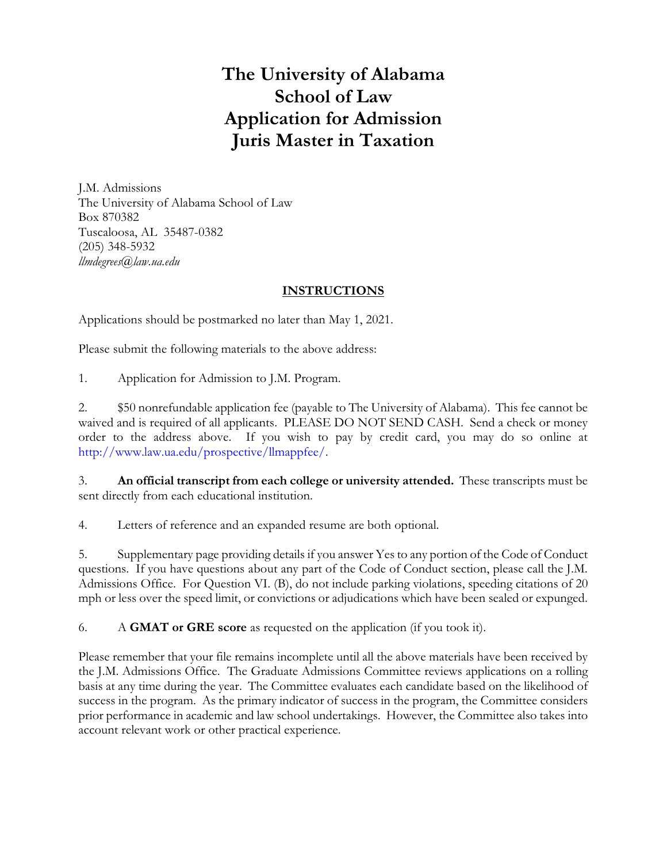# **The University of Alabama School of Law Application for Admission Juris Master in Taxation**

J.M. Admissions The University of Alabama School of Law Box 870382 Tuscaloosa, AL 35487-0382 (205) 348-5932 *llmdegrees@law.ua.edu*

## **INSTRUCTIONS**

Applications should be postmarked no later than May 1, 2021.

Please submit the following materials to the above address:

1. Application for Admission to J.M. Program.

2. \$50 nonrefundable application fee (payable to The University of Alabama). This fee cannot be waived and is required of all applicants. PLEASE DO NOT SEND CASH. Send a check or money order to the address above. If you wish to pay by credit card, you may do so online at http://www.law.ua.edu/prospective/llmappfee/.

3. **An official transcript from each college or university attended.** These transcripts must be sent directly from each educational institution.

4. Letters of reference and an expanded resume are both optional.

5. Supplementary page providing details if you answer Yes to any portion of the Code of Conduct questions. If you have questions about any part of the Code of Conduct section, please call the J.M. Admissions Office. For Question VI. (B), do not include parking violations, speeding citations of 20 mph or less over the speed limit, or convictions or adjudications which have been sealed or expunged.

6. A **GMAT or GRE score** as requested on the application (if you took it).

Please remember that your file remains incomplete until all the above materials have been received by the J.M. Admissions Office. The Graduate Admissions Committee reviews applications on a rolling basis at any time during the year. The Committee evaluates each candidate based on the likelihood of success in the program. As the primary indicator of success in the program, the Committee considers prior performance in academic and law school undertakings. However, the Committee also takes into account relevant work or other practical experience.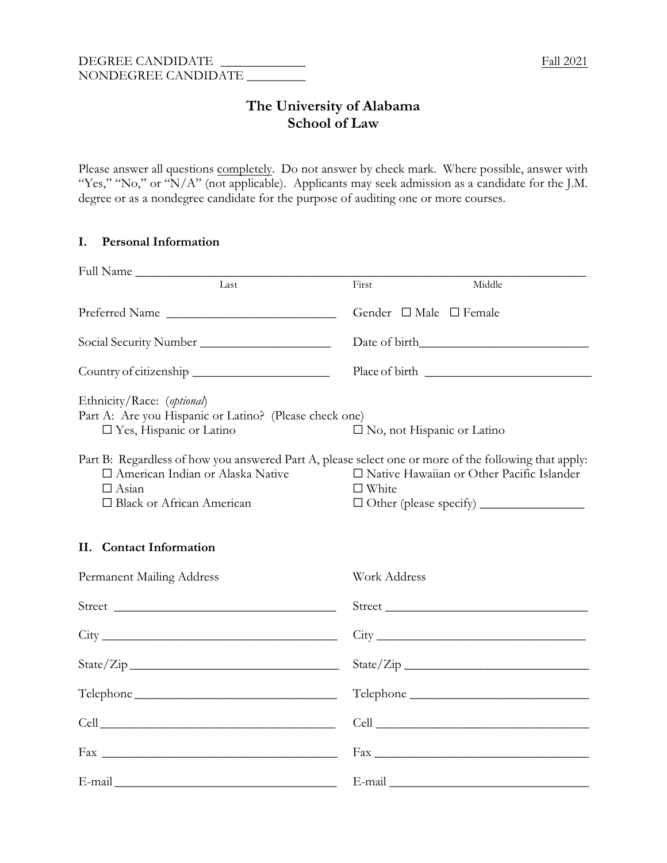# **The University of Alabama School of Law**

Please answer all questions completely. Do not answer by check mark. Where possible, answer with "Yes," "No," or "N/A" (not applicable). Applicants may seek admission as a candidate for the J.M. degree or as a nondegree candidate for the purpose of auditing one or more courses.

#### **I. Personal Information**

| Full Name                                                                                                                                                                                  |                                                                                                                 |
|--------------------------------------------------------------------------------------------------------------------------------------------------------------------------------------------|-----------------------------------------------------------------------------------------------------------------|
| Last                                                                                                                                                                                       | Middle<br>First                                                                                                 |
| Preferred Name                                                                                                                                                                             | Gender $\Box$ Male $\Box$ Female                                                                                |
|                                                                                                                                                                                            |                                                                                                                 |
|                                                                                                                                                                                            |                                                                                                                 |
| Ethnicity/Race: (optional)<br>Part A: Are you Hispanic or Latino? (Please check one)<br>$\square$ Yes, Hispanic or Latino                                                                  | $\square$ No, not Hispanic or Latino                                                                            |
| Part B: Regardless of how you answered Part A, please select one or more of the following that apply:<br>□ American Indian or Alaska Native<br>$\Box$ Asian<br>□ Black or African American | □ Native Hawaiian or Other Pacific Islander<br>$\Box$ White                                                     |
| <b>Contact Information</b><br>Н.                                                                                                                                                           |                                                                                                                 |
| Permanent Mailing Address                                                                                                                                                                  | Work Address                                                                                                    |
|                                                                                                                                                                                            | Street                                                                                                          |
|                                                                                                                                                                                            |                                                                                                                 |
|                                                                                                                                                                                            | State/Zip                                                                                                       |
|                                                                                                                                                                                            |                                                                                                                 |
|                                                                                                                                                                                            |                                                                                                                 |
|                                                                                                                                                                                            | $\frac{Fax}{2}$                                                                                                 |
|                                                                                                                                                                                            | E-mail explorer and the set of the set of the set of the set of the set of the set of the set of the set of the |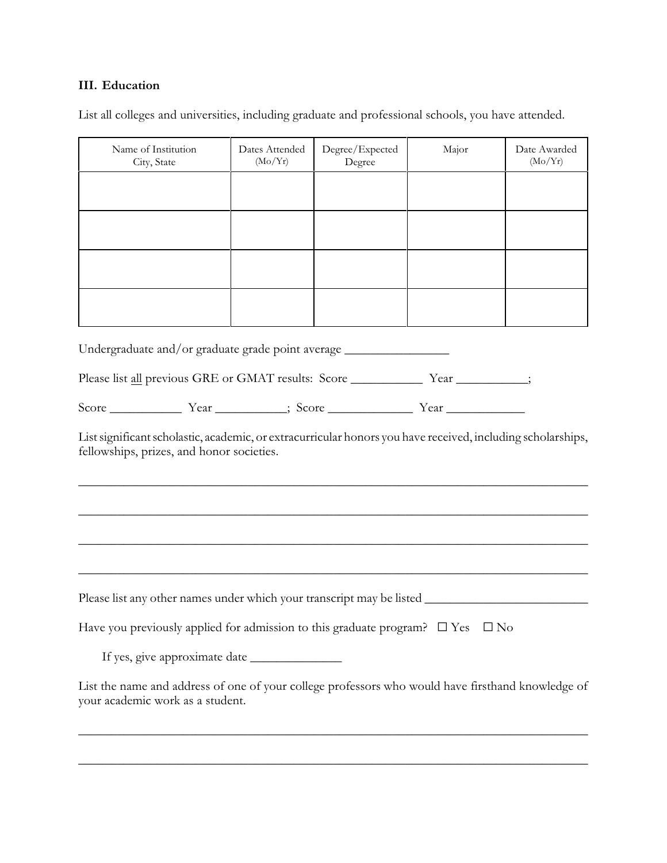#### **III. Education**

List all colleges and universities, including graduate and professional schools, you have attended.

| Name of Institution<br>City, State | Dates Attended<br>(Mo/Yr) | Degree/Expected<br>Degree | Major | Date Awarded<br>(Mo/Yr) |
|------------------------------------|---------------------------|---------------------------|-------|-------------------------|
|                                    |                           |                           |       |                         |
|                                    |                           |                           |       |                         |
|                                    |                           |                           |       |                         |
|                                    |                           |                           |       |                         |

Undergraduate and/or graduate grade point average \_\_\_\_\_\_\_\_\_\_\_\_\_\_\_\_\_\_\_\_\_\_\_\_\_\_\_\_\_\_

Please list all previous GRE or GMAT results: Score \_\_\_\_\_\_\_\_\_\_\_\_\_\_ Year \_\_\_\_\_\_\_\_\_;

| $\sqrt{2}$ | $\rho$ | $\sim$ | ear |
|------------|--------|--------|-----|
| Score      | ' Cai  | . SO   |     |

List significant scholastic, academic, or extracurricular honors you have received, including scholarships, fellowships, prizes, and honor societies.

\_\_\_\_\_\_\_\_\_\_\_\_\_\_\_\_\_\_\_\_\_\_\_\_\_\_\_\_\_\_\_\_\_\_\_\_\_\_\_\_\_\_\_\_\_\_\_\_\_\_\_\_\_\_\_\_\_\_\_\_\_\_\_\_\_\_\_\_\_\_\_\_\_\_\_\_\_\_

\_\_\_\_\_\_\_\_\_\_\_\_\_\_\_\_\_\_\_\_\_\_\_\_\_\_\_\_\_\_\_\_\_\_\_\_\_\_\_\_\_\_\_\_\_\_\_\_\_\_\_\_\_\_\_\_\_\_\_\_\_\_\_\_\_\_\_\_\_\_\_\_\_\_\_\_\_\_

\_\_\_\_\_\_\_\_\_\_\_\_\_\_\_\_\_\_\_\_\_\_\_\_\_\_\_\_\_\_\_\_\_\_\_\_\_\_\_\_\_\_\_\_\_\_\_\_\_\_\_\_\_\_\_\_\_\_\_\_\_\_\_\_\_\_\_\_\_\_\_\_\_\_\_\_\_\_

| Please list any other names under which your transcript may be listed ___________                                                     |
|---------------------------------------------------------------------------------------------------------------------------------------|
| Have you previously applied for admission to this graduate program? $\square$ Yes $\square$ No                                        |
|                                                                                                                                       |
| List the name and address of one of your college professors who would have firsthand knowledge of<br>your academic work as a student. |

\_\_\_\_\_\_\_\_\_\_\_\_\_\_\_\_\_\_\_\_\_\_\_\_\_\_\_\_\_\_\_\_\_\_\_\_\_\_\_\_\_\_\_\_\_\_\_\_\_\_\_\_\_\_\_\_\_\_\_\_\_\_\_\_\_\_\_\_\_\_\_\_\_\_\_\_\_\_

\_\_\_\_\_\_\_\_\_\_\_\_\_\_\_\_\_\_\_\_\_\_\_\_\_\_\_\_\_\_\_\_\_\_\_\_\_\_\_\_\_\_\_\_\_\_\_\_\_\_\_\_\_\_\_\_\_\_\_\_\_\_\_\_\_\_\_\_\_\_\_\_\_\_\_\_\_\_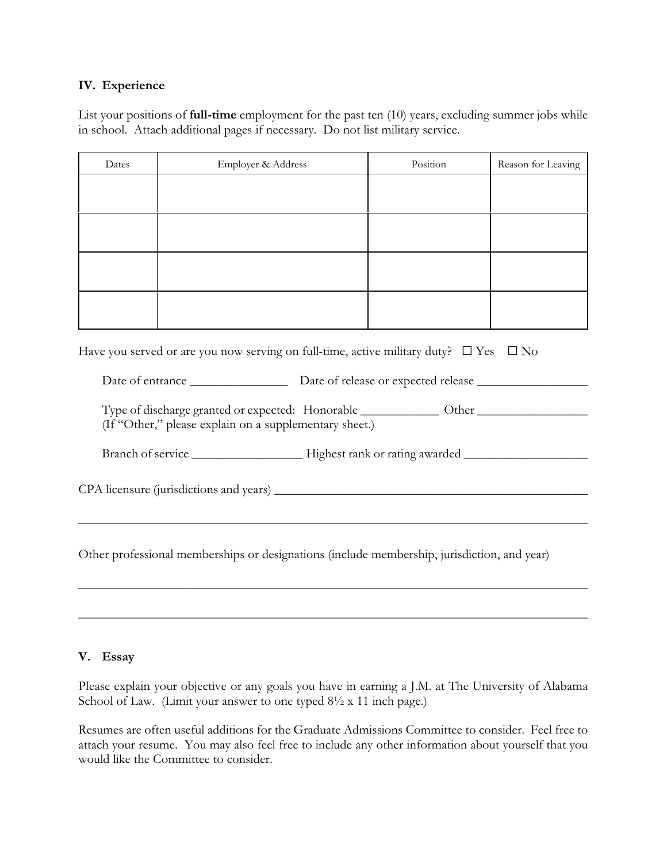#### **IV. Experience**

List your positions of **full-time** employment for the past ten (10) years, excluding summer jobs while in school. Attach additional pages if necessary. Do not list military service.

| Dates | Employer & Address | Position | Reason for Leaving |
|-------|--------------------|----------|--------------------|
|       |                    |          |                    |
|       |                    |          |                    |
|       |                    |          |                    |
|       |                    |          |                    |

Have you served or are you now serving on full-time, active military duty?  $\square$  Yes  $\square$  No

Date of entrance \_\_\_\_\_\_\_\_\_\_\_\_\_\_\_ Date of release or expected release \_\_\_\_\_\_\_\_\_\_\_\_\_\_\_\_\_

Type of discharge granted or expected: Honorable \_\_\_\_\_\_\_\_\_\_\_\_ Other \_\_\_\_\_\_\_\_\_\_\_\_\_\_\_\_\_ (If "Other," please explain on a supplementary sheet.)

Branch of service \_\_\_\_\_\_\_\_\_\_\_\_\_\_\_\_\_ Highest rank or rating awarded \_\_\_\_\_\_\_\_\_\_\_\_\_\_\_\_\_\_\_

CPA licensure (jurisdictions and years) \_\_\_\_\_\_\_\_\_\_\_\_\_\_\_\_\_\_\_\_\_\_\_\_\_\_\_\_\_\_\_\_\_\_\_\_\_\_\_\_\_\_\_\_\_\_\_\_

Other professional memberships or designations (include membership, jurisdiction, and year)

\_\_\_\_\_\_\_\_\_\_\_\_\_\_\_\_\_\_\_\_\_\_\_\_\_\_\_\_\_\_\_\_\_\_\_\_\_\_\_\_\_\_\_\_\_\_\_\_\_\_\_\_\_\_\_\_\_\_\_\_\_\_\_\_\_\_\_\_\_\_\_\_\_\_\_\_\_\_

\_\_\_\_\_\_\_\_\_\_\_\_\_\_\_\_\_\_\_\_\_\_\_\_\_\_\_\_\_\_\_\_\_\_\_\_\_\_\_\_\_\_\_\_\_\_\_\_\_\_\_\_\_\_\_\_\_\_\_\_\_\_\_\_\_\_\_\_\_\_\_\_\_\_\_\_\_\_

\_\_\_\_\_\_\_\_\_\_\_\_\_\_\_\_\_\_\_\_\_\_\_\_\_\_\_\_\_\_\_\_\_\_\_\_\_\_\_\_\_\_\_\_\_\_\_\_\_\_\_\_\_\_\_\_\_\_\_\_\_\_\_\_\_\_\_\_\_\_\_\_\_\_\_\_\_\_

#### **V. Essay**

Please explain your objective or any goals you have in earning a J.M. at The University of Alabama School of Law. (Limit your answer to one typed  $8\frac{1}{2}$  x 11 inch page.)

Resumes are often useful additions for the Graduate Admissions Committee to consider. Feel free to attach your resume. You may also feel free to include any other information about yourself that you would like the Committee to consider.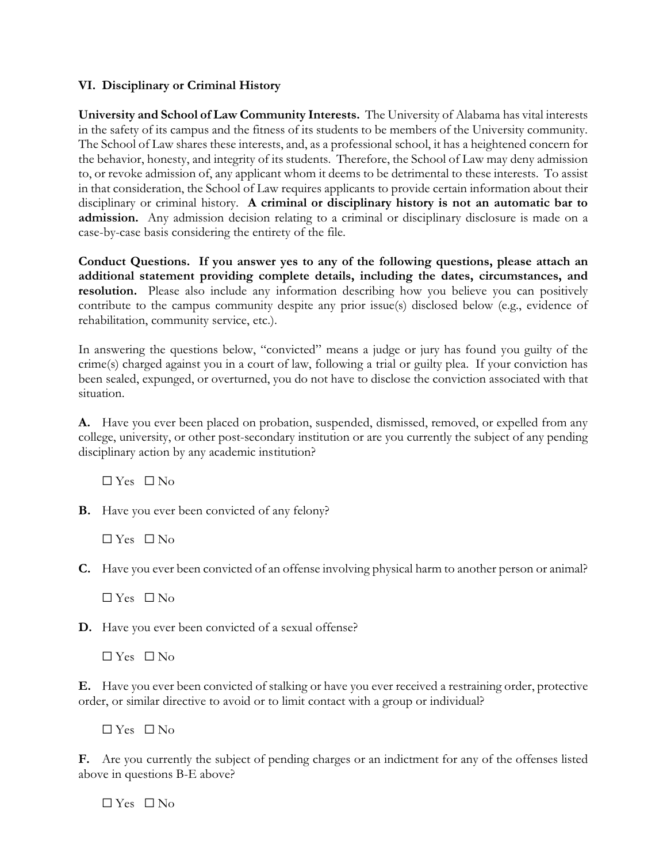#### **VI. Disciplinary or Criminal History**

**University and School of Law Community Interests.** The University of Alabama has vital interests in the safety of its campus and the fitness of its students to be members of the University community. The School of Law shares these interests, and, as a professional school, it has a heightened concern for the behavior, honesty, and integrity of its students. Therefore, the School of Law may deny admission to, or revoke admission of, any applicant whom it deems to be detrimental to these interests. To assist in that consideration, the School of Law requires applicants to provide certain information about their disciplinary or criminal history. **A criminal or disciplinary history is not an automatic bar to admission.** Any admission decision relating to a criminal or disciplinary disclosure is made on a case-by-case basis considering the entirety of the file.

**Conduct Questions. If you answer yes to any of the following questions, please attach an additional statement providing complete details, including the dates, circumstances, and resolution.** Please also include any information describing how you believe you can positively contribute to the campus community despite any prior issue(s) disclosed below (e.g., evidence of rehabilitation, community service, etc.).

In answering the questions below, "convicted" means a judge or jury has found you guilty of the crime(s) charged against you in a court of law, following a trial or guilty plea. If your conviction has been sealed, expunged, or overturned, you do not have to disclose the conviction associated with that situation.

**A.** Have you ever been placed on probation, suspended, dismissed, removed, or expelled from any college, university, or other post-secondary institution or are you currently the subject of any pending disciplinary action by any academic institution?

 $\Box$  Yes  $\Box$  No

**B.** Have you ever been convicted of any felony?

 $\Box$  Yes  $\Box$  No

**C.** Have you ever been convicted of an offense involving physical harm to another person or animal?

 $\Box$  Yes  $\Box$  No

**D.** Have you ever been convicted of a sexual offense?

 $\Box$  Yes  $\Box$  No

**E.** Have you ever been convicted of stalking or have you ever received a restraining order, protective order, or similar directive to avoid or to limit contact with a group or individual?

 $\Box$  Yes  $\Box$  No

**F.** Are you currently the subject of pending charges or an indictment for any of the offenses listed above in questions B-E above?

 $\Box$  Yes  $\Box$  No